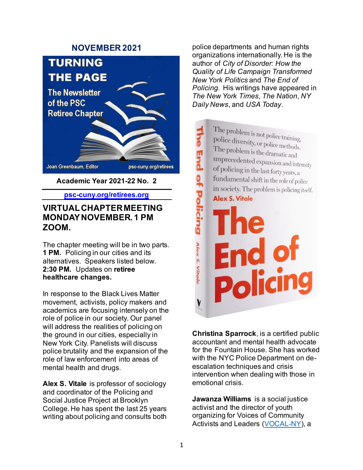### **NOVEMBER 2021**



**psc-cuny.org/retirees.org**

### **VIRTUAL CHAPTER MEETING MONDAY NOVEMBER. 1 PM ZOOM.**

The chapter meeting will be in two parts. **1 PM.** Policing in our cities and its alternatives. Speakers listed below. **2:30 PM.** Updates on **retiree healthcare changes.**

In response to the Black Lives Matter movement, activists, policy makers and academics are focusing intensely on the role of police in our society. Our panel will address the realities of policing on the ground in our cities, especially in New York City. Panelists will discuss police brutality and the expansion of the role of law enforcement into areas of mental health and drugs.

**Alex S. Vitale** is professor of sociology and coordinator of the Policing and Social Justice Project at Brooklyn College. He has spent the last 25 years writing about policing and consults both police departments and human rights organizations internationally. He is the author of *City of Disorder: How the Quality of Life Campaign Transformed New York Politics* and *The End of Policing.* His writings have appeared in *The New York Times*, *The Nation*, *NY Daily News*, and *USA Today*.

The problem is not police training,<br>police diversity on a little The End of Policing problem is not police training,<br>police diversity, or police methods.<br>The problem is the d The problem is the dramatic and unprecedented expansion and intensity of policing in the last forty years, a fundamental shift in the role of police in society. The problem is policing itself. Alex S. Vitale End of<br>Policing Alex S. Vitale y

**Christina Sparrock**, is a certified public accountant and mental health advocate for the Fountain House. She has worked with the NYC Police Department on deescalation techniques and crisis intervention when dealing with those in emotional crisis.

**Jawanza Williams** is a social justice activist and the director of youth organizing for Voices of Community Activists and Leaders [\(VOCAL-NY\)](https://mail.hunter.cuny.edu/owa/redir.aspx?C=C_BMLa2TtJ1DAeLfoTqVN62Q3M907MKVPQ_UpJOkk9zFy4kO45PZCA..&URL=https%3a%2f%2fwww.vocal-ny.org%2f), a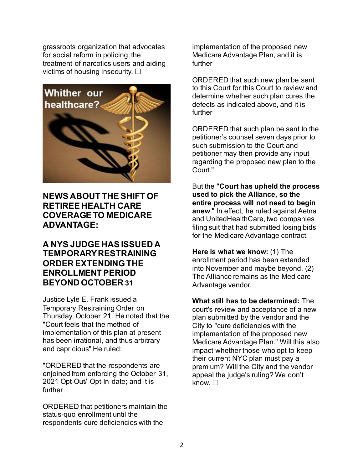grassroots organization that advocates for social reform in policing, the treatment of narcotics users and aiding victims of housing insecurity.  $\square$ 



# **NEWS ABOUT THE SHIFT OF RETIREE HEALTH CARE COVERAGE TO MEDICARE ADVANTAGE:**

# **A NYS JUDGE HAS ISSUED A TEMPORARY RESTRAINING ORDER EXTENDING THE ENROLLMENT PERIOD BEYOND OCTOBER 31**

Justice Lyle E. Frank issued a Temporary Restraining Order on Thursday, October 21. He noted that the "Court feels that the method of implementation of this plan at present has been irrational, and thus arbitrary and capricious" He ruled:

"ORDERED that the respondents are enjoined from enforcing the October 31, 2021 Opt-Out/ Opt-In date; and it is further

ORDERED that petitioners maintain the status-quo enrollment until the respondents cure deficiencies with the

implementation of the proposed new Medicare Advantage Plan, and it is further

ORDERED that such new plan be sent to this Court for this Court to review and determine whether such plan cures the defects as indicated above, and it is further

ORDERED that such plan be sent to the petitioner's counsel seven days prior to such submission to the Court and petitioner may then provide any input regarding the proposed new plan to the Court."

But the "**Court has upheld the process used to pick the Alliance, so the entire process will not need to begin anew**." In effect, he ruled against Aetna and UnitedHealthCare, two companies filing suit that had submitted losing bids for the Medicare Advantage contract.

**Here is what we know:** (1) The enrollment period has been extended into November and maybe beyond. (2) The Alliance remains as the Medicare Advantage vendor.

**What still has to be determined:** The court's review and acceptance of a new plan submitted by the vendor and the City to "cure deficiencies with the implementation of the proposed new Medicare Advantage Plan." Will this also impact whether those who opt to keep their current NYC plan must pay a premium? Will the City and the vendor appeal the judge's ruling? We don't know.  $\Box$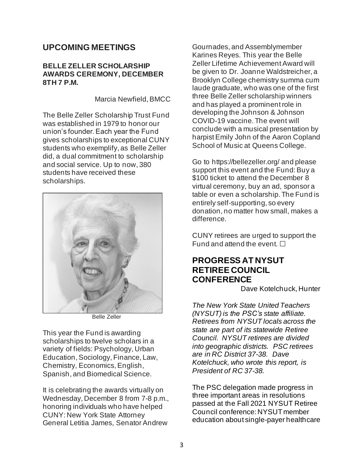## **UPCOMING MEETINGS**

#### **BELLE ZELLER SCHOLARSHIP AWARDS CEREMONY, DECEMBER 8TH 7 P.M.**

Marcia Newfield, BMCC

The Belle Zeller Scholarship Trust Fund was established in 1979 to honor our union's founder. Each year the Fund gives scholarships to exceptional CUNY students who exemplify, as Belle Zeller did, a dual commitment to scholarship and social service. Up to now, 380 students have received these scholarships.



Belle Zeller

This year the Fund is awarding scholarships to twelve scholars in a variety of fields: Psychology, Urban Education, Sociology, Finance, Law, Chemistry, Economics, English, Spanish, and Biomedical Science.

It is celebrating the awards virtually on Wednesday, December 8 from 7-8 p.m., honoring individuals who have helped CUNY: New York State Attorney General Letitia James, Senator Andrew

Gournades, and Assemblymember Karines Reyes. This year the Belle Zeller Lifetime Achievement Award will be given to Dr. Joanne Waldstreicher, a Brooklyn College chemistry summa cum laude graduate, who was one of the first three Belle Zeller scholarship winners and has played a prominent role in developing the Johnson & Johnson COVID-19 vaccine. The event will conclude with a musical presentation by harpist Emily John of the Aaron Copland School of Music at Queens College.

Go to https://bellezeller.org/ and please support this event and the Fund: Buy a \$100 ticket to attend the December 8 virtual ceremony, buy an ad, sponsor a table or even a scholarship. The Fund is entirely self-supporting, so every donation, no matter how small, makes a difference.

CUNY retirees are urged to support the Fund and attend the event.  $\Box$ 

# **PROGRESS AT NYSUT RETIREE COUNCIL CONFERENCE**

Dave Kotelchuck, Hunter

*The New York State United Teachers (NYSUT) is the PSC's state affiliate. Retirees from NYSUT locals across the state are part of its statewide Retiree Council. NYSUT retirees are divided into geographic districts. PSC retirees are in RC District 37-38. Dave Kotelchuck, who wrote this report, is President of RC 37-38.*

The PSC delegation made progress in three important areas in resolutions passed at the Fall 2021 NYSUT Retiree Council conference: NYSUT member education about single-payer healthcare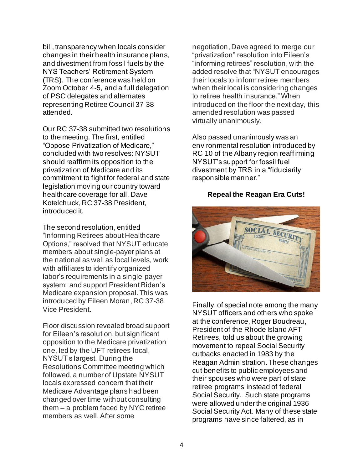bill, transparency when locals consider changes in their health insurance plans, and divestment from fossil fuels by the NYS Teachers' Retirement System (TRS). The conference was held on Zoom October 4-5, and a full delegation of PSC delegates and alternates representing Retiree Council 37-38 attended.

Our RC 37-38 submitted two resolutions to the meeting. The first, entitled "Oppose Privatization of Medicare," concluded with two resolves: NYSUT should reaffirm its opposition to the privatization of Medicare and its commitment to fight for federal and state legislation moving our country toward healthcare coverage for all. Dave Kotelchuck, RC 37-38 President, introduced it.

The second resolution, entitled "Informing Retirees about Healthcare Options," resolved that NYSUT educate members about single-payer plans at the national as well as local levels, work with affiliates to identify organized labor's requirements in a single-payer system; and support President Biden's Medicare expansion proposal. This was introduced by Eileen Moran, RC 37-38 Vice President.

Floor discussion revealed broad support for Eileen's resolution, but significant opposition to the Medicare privatization one, led by the UFT retirees local, NYSUT's largest. During the Resolutions Committee meeting which followed, a number of Upstate NYSUT locals expressed concern that their Medicare Advantage plans had been changed over time without consulting them – a problem faced by NYC retiree members as well. After some

negotiation, Dave agreed to merge our "privatization" resolution into Eileen's "informing retirees" resolution, with the added resolve that "NYSUT encourages their locals to inform retiree members when their local is considering changes to retiree health insurance." When introduced on the floor the next day, this amended resolution was passed virtually unanimously.

Also passed unanimously was an environmental resolution introduced by RC 10 of the Albany region reaffirming NYSUT's support for fossil fuel divestment by TRS in a "fiduciarily responsible manner."

#### **Repeal the Reagan Era Cuts!**



Finally, of special note among the many NYSUT officers and others who spoke at the conference, Roger Boudreau, President of the Rhode Island AFT Retirees, told us about the growing movement to repeal Social Security cutbacks enacted in 1983 by the Reagan Administration. These changes cut benefits to public employees and their spouses who were part of state retiree programs instead of federal Social Security. Such state programs were allowed under the original 1936 Social Security Act. Many of these state programs have since faltered, as in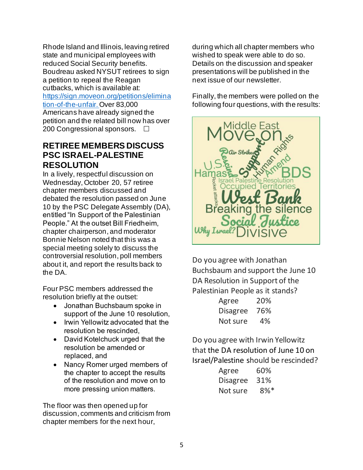Rhode Island and Illinois, leaving retired state and municipal employees with reduced Social Security benefits. Boudreau asked NYSUT retirees to sign a petition to repeal the Reagan cutbacks, which is available at: [https://sign.moveon.org/petitions/elimina](https://sign.moveon.org/petitions/elimination-of-the-unfair) [tion-of-the-unfair](https://sign.moveon.org/petitions/elimination-of-the-unfair). Over 83,000 Americans have already signed the petition and the related bill now has over 200 Congressional sponsors.  $\square$ 

### **RETIREE MEMBERS DISCUSS PSC ISRAEL-PALESTINE RESOLUTION**

In a lively, respectful discussion on Wednesday, October 20, 57 retiree chapter members discussed and debated the resolution passed on June 10 by the PSC Delegate Assembly (DA), entitled "In Support of the Palestinian People." At the outset Bill Friedheim, chapter chairperson, and moderator Bonnie Nelson noted that this was a special meeting solely to discuss the controversial resolution, poll members about it, and report the results back to the DA.

Four PSC members addressed the resolution briefly at the outset:

- Jonathan Buchsbaum spoke in support of the June 10 resolution,
- Irwin Yellowitz advocated that the resolution be rescinded,
- David Kotelchuck urged that the resolution be amended or replaced, and
- Nancy Romer urged members of the chapter to accept the results of the resolution and move on to more pressing union matters.

The floor was then opened up for discussion, comments and criticism from chapter members for the next hour,

during which all chapter members who wished to speak were able to do so. Details on the discussion and speaker presentations will be published in the next issue of our newsletter.

Finally, the members were polled on the following four questions, with the results:



Do you agree with Jonathan Buchsbaum and support the June 10 DA Resolution in Support of the Palestinian People as it stands?

| Agree           | 20% |
|-----------------|-----|
| <b>Disagree</b> | 76% |
| Not sure        | 4%  |

Do you agree with Irwin Yellowitz that the DA resolution of June 10 on Israel/Palestine should be rescinded?

| Agree           | 60%    |
|-----------------|--------|
| <b>Disagree</b> | 31%    |
| Not sure        | $8\%*$ |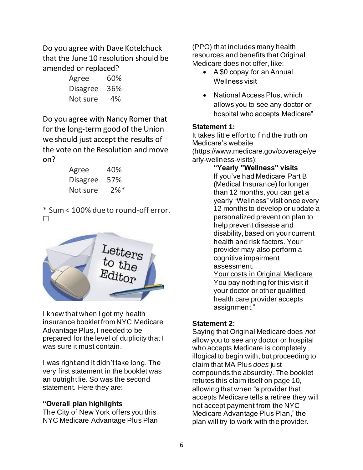Do you agree with Dave Kotelchuck that the June 10 resolution should be amended or replaced?

| Agree           | 60% |
|-----------------|-----|
| <b>Disagree</b> | 36% |
| Not sure        | 4%  |

Do you agree with Nancy Romer that for the long-term good of the Union we should just accept the results of the vote on the Resolution and move on?

| Agree           | 40%                |
|-----------------|--------------------|
| <b>Disagree</b> | 57%                |
| Not sure        | $2\%$ <sup>*</sup> |

\* Sum < 100% due to round-off error.  $\Box$ 



I knew that when I got my health insurance booklet from NYC Medicare Advantage Plus, I needed to be prepared for the level of duplicity that I was sure it must contain.

I was right and it didn't take long. The very first statement in the booklet was an outright lie. So was the second statement. Here they are:

### **"Overall plan highlights**

The City of New York offers you this NYC Medicare Advantage Plus Plan (PPO) that includes many health resources and benefits that Original Medicare does not offer, like:

- A \$0 copay for an Annual Wellness visit
- National Access Plus, which allows you to see any doctor or hospital who accepts Medicare"

#### **Statement 1:**

It takes little effort to find the truth on Medicare's website (https://www.medicare.gov/coverage/ye arly-wellness-visits):

**"Yearly "Wellness" visits** If you've had Medicare Part B (Medical Insurance) for longer than 12 months, you can get a yearly "Wellness" visit once every 12 months to develop or update a personalized prevention plan to help prevent disease and disability, based on your current health and risk factors. Your provider may also perform a cognitive impairment assessment. Your costs in Original Medicare You pay nothing for this visit if your doctor or other qualified health care provider accepts assignment."

#### **Statement 2:**

Saying that Original Medicare does *not* allow you to see any doctor or hospital who accepts Medicare is completely illogical to begin with, but proceeding to claim that MA Plus *does* just compounds the absurdity. The booklet refutes this claim itself on page 10, allowing that when "a provider that accepts Medicare tells a retiree they will not accept payment from the NYC Medicare Advantage Plus Plan," the plan will try to work with the provider.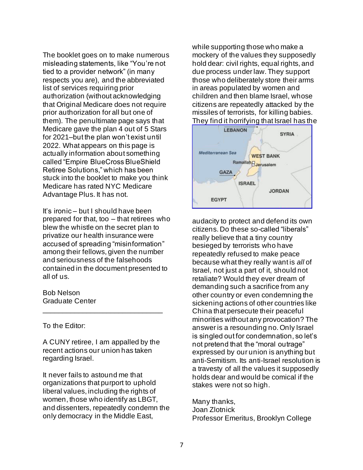The booklet goes on to make numerous misleading statements, like "You're not tied to a provider network" (in many respects you are), and the abbreviated list of services requiring prior authorization (without acknowledging that Original Medicare does not require prior authorization for all but one of them). The penultimate page says that Medicare gave the plan 4 out of 5 Stars for 2021–but the plan won't exist until 2022. What appears on this page is actually information about something called "Empire BlueCross BlueShield Retiree Solutions," which has been stuck into the booklet to make you think Medicare has rated NYC Medicare Advantage Plus. It has not.

It's ironic – but I should have been prepared for that, too – that retirees who blew the whistle on the secret plan to privatize our health insurance were accused of spreading "misinformation" among their fellows, given the number and seriousness of the falsehoods contained in the document presented to all of us.

Bob Nelson Graduate Center

To the Editor:

A CUNY retiree, I am appalled by the recent actions our union has taken regarding Israel.

\_\_\_\_\_\_\_\_\_\_\_\_\_\_\_\_\_\_\_\_\_\_\_\_\_\_\_\_\_\_

It never fails to astound me that organizations that purport to uphold liberal values, including the rights of women, those who identify as LBGT, and dissenters, repeatedly condemn the only democracy in the Middle East,

while supporting those who make a mockery of the values they supposedly hold dear: civil rights, equal rights, and due process under law. They support those who deliberately store their arms in areas populated by women and children and then blame Israel, whose citizens are repeatedly attacked by the missiles of terrorists, for killing babies. They find it horrifying that Israel has the



audacity to protect and defend its own citizens. Do these so-called "liberals" really believe that a tiny country besieged by terrorists who have repeatedly refused to make peace because what they really want is *all* of Israel, not just a part of it, should not retaliate? Would they ever dream of demanding such a sacrifice from any other country or even condemning the sickening actions of other countries like China that persecute their peaceful minorities without any provocation? The answer is a resounding no. Only Israel is singled out for condemnation, so let's not pretend that the "moral outrage" expressed by our union is anything but anti-Semitism. Its anti-Israel resolution is a travesty of all the values it supposedly holds dear and would be comical if the stakes were not so high.

Many thanks, Joan Zlotnick Professor Emeritus, Brooklyn College